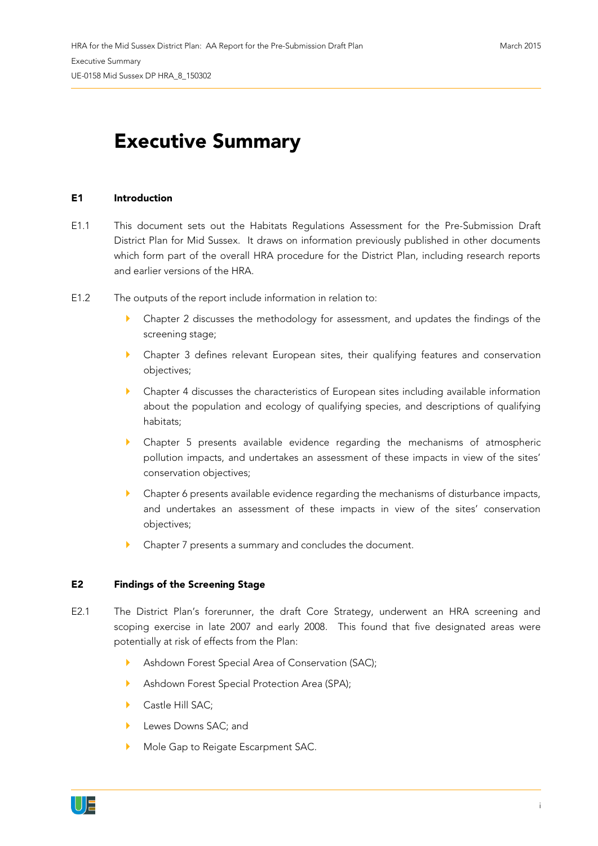## **Executive Summary**

## **E1 Introduction**

- E1.1 This document sets out the Habitats Regulations Assessment for the Pre-Submission Draft District Plan for Mid Sussex. It draws on information previously published in other documents which form part of the overall HRA procedure for the District Plan, including research reports and earlier versions of the HRA.
- E1.2 The outputs of the report include information in relation to:
	- Chapter 2 discusses the methodology for assessment, and updates the findings of the screening stage;
	- Chapter 3 defines relevant European sites, their qualifying features and conservation objectives;
	- Chapter 4 discusses the characteristics of European sites including available information about the population and ecology of qualifying species, and descriptions of qualifying habitats;
	- Chapter 5 presents available evidence regarding the mechanisms of atmospheric pollution impacts, and undertakes an assessment of these impacts in view of the sites' conservation objectives;
	- Chapter 6 presents available evidence regarding the mechanisms of disturbance impacts, and undertakes an assessment of these impacts in view of the sites' conservation objectives;
	- Chapter 7 presents a summary and concludes the document.

## **E2 Findings of the Screening Stage**

- E2.1 The District Plan's forerunner, the draft Core Strategy, underwent an HRA screening and scoping exercise in late 2007 and early 2008. This found that five designated areas were potentially at risk of effects from the Plan:
	- Ashdown Forest Special Area of Conservation (SAC);
	- Ashdown Forest Special Protection Area (SPA);
	- Castle Hill SAC:
	- Lewes Downs SAC; and
	- Mole Gap to Reigate Escarpment SAC.